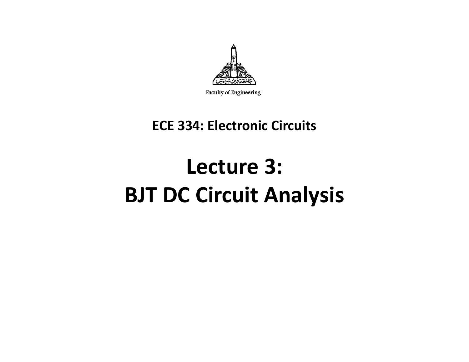

Faculty of Engineering

#### **ECE 334: Electronic Circuits**

# **Lecture 3: BJT DC Circuit Analysis**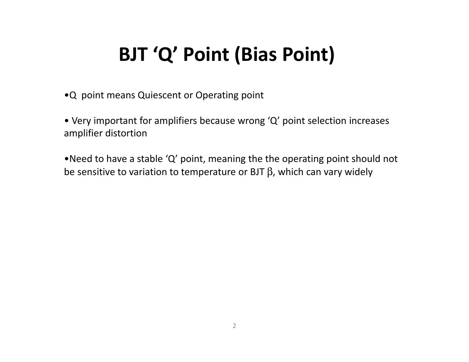# **BJT 'Q' Point (Bias Point)**

- •Q point means Quiescent or Operating point
- Very important for amplifiers because wrong 'Q' point selection increases amplifier distortion
- •Need to have a stable 'Q' point, meaning the the operating point should not be sensitive to variation to temperature or BJT  $\beta$ , which can vary widely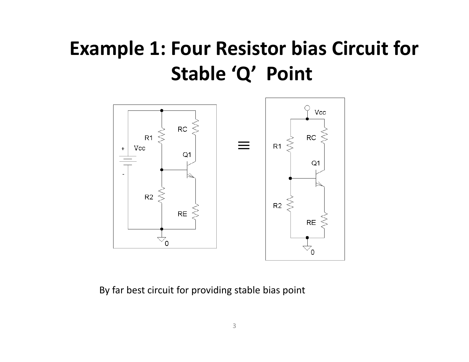# **Example 1: Four Resistor bias Circuit for Stable 'Q' Point**



By far best circuit for providing stable bias point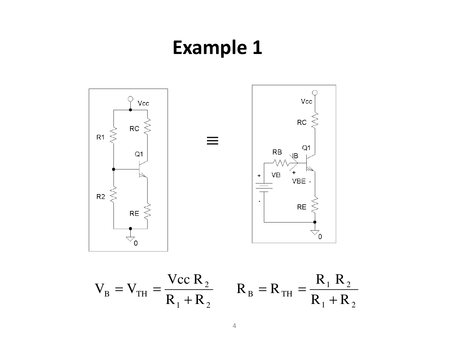

$$
V_B = V_{TH} = \frac{V_{CC} R_2}{R_1 + R_2}
$$
  $R_B = R_{TH} = \frac{R_1 R_2}{R_1 + R_2}$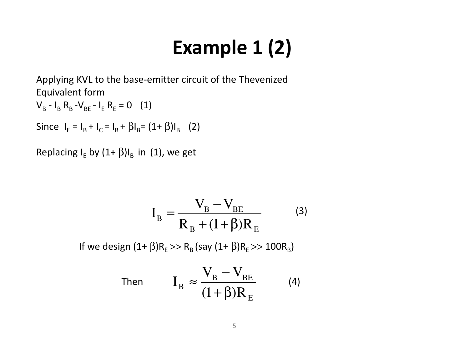# **Example 1 (2)**

Applying KVL to the base-emitter circuit of the Thevenized Equivalent form $V_{B}$  - I<sub>B</sub> R<sub>B</sub> -V<sub>BE</sub> - I<sub>E</sub> R<sub>E</sub> = 0 (1)

Since  $I_E = I_B + I_C = I_B + \beta I_B = (1 + \beta)I_B$  (2)

Replacing I<sub>E</sub> by  $(1+\beta)I_B$  in  $(1)$ , we get

$$
I_{B} = \frac{V_{B} - V_{BE}}{R_{B} + (1 + \beta)R_{E}}
$$
 (3)

If we design (1+  $\beta$ )R<sub>E</sub> >> R<sub>B</sub> (say (1+  $\beta$ )R<sub>E</sub> >> 100R<sub>B</sub>)

Then 
$$
I_B \approx \frac{V_B - V_{BE}}{(1 + \beta)R_E}
$$
 (4)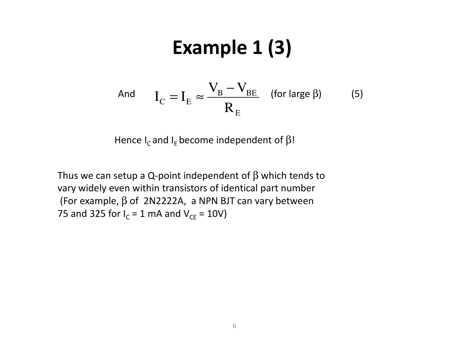# **Example 1 (3)**

And 
$$
I_C = I_E \approx \frac{V_B - V_{BE}}{R_E}
$$
 (for large  $\beta$ ) (5)

Hence  $I_c$  and  $I_E$  become independent of  $\beta!$ 

Thus we can setup a Q-point independent of  $\beta$  which tends to vary widely even within transistors of identical part number (For example, β of 2N2222A, a NPN BJT can vary between 75 and 325 for I<sub>C</sub> = 1 mA and V<sub>CE</sub> = 10V)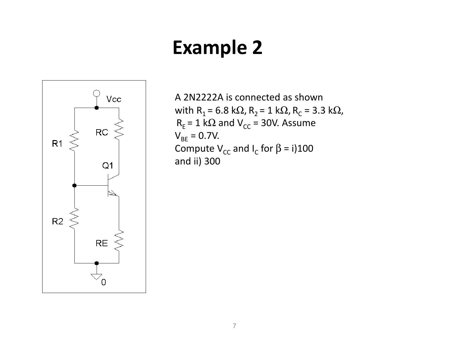

A 2N2222A is connected as shown with R<sub>1</sub> = 6.8 kΩ, R<sub>2</sub> = 1 kΩ, R<sub>c</sub> = 3.3 kΩ, R<sub>E</sub> = 1 kΩ and V<sub>CC</sub> = 30V. Assume  $V_{BE} = 0.7V$ . Compute V<sub>cc</sub> and I<sub>c</sub> for β = i)100 and ii) 300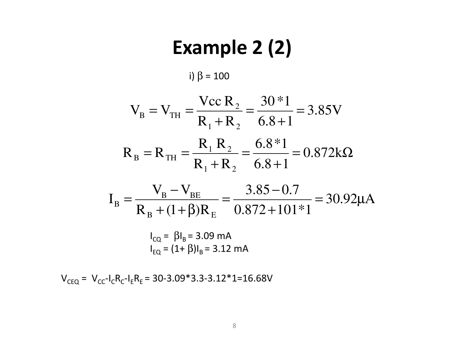### **Example 2 (2)**

i) β = 100

$$
V_B = V_{TH} = \frac{V_{CC} R_2}{R_1 + R_2} = \frac{30 * 1}{6.8 + 1} = 3.85 V
$$
  
R<sub>B</sub> = R<sub>TH</sub> =  $\frac{R_1 R_2}{R_1 + R_2} = \frac{6.8 * 1}{6.8 + 1} = 0.872 k\Omega$ 

$$
I_{B} = \frac{V_{B} - V_{BE}}{R_{B} + (1 + \beta)R_{E}} = \frac{3.85 - 0.7}{0.872 + 101 * 1} = 30.92 \mu A
$$

$$
I_{CQ} = \beta I_B = 3.09 \text{ mA}
$$
  
 $I_{EQ} = (1 + \beta)I_B = 3.12 \text{ mA}$ 

 $V_{CEQ}$  =  $V_{CC}$ -I<sub>C</sub>R<sub>C</sub>-I<sub>E</sub>R<sub>E</sub> = 30-3.09\*3.3-3.12\*1=16.68V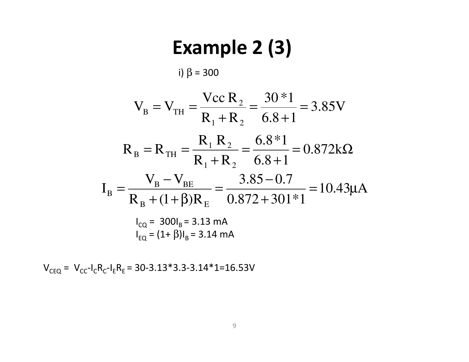### **Example 2 (3)**

i) β = 300

$$
V_{B} = V_{TH} = \frac{V_{CC} R_{2}}{R_{1} + R_{2}} = \frac{30 * 1}{6.8 + 1} = 3.85 V
$$
  
\n
$$
R_{B} = R_{TH} = \frac{R_{1} R_{2}}{R_{1} + R_{2}} = \frac{6.8 * 1}{6.8 + 1} = 0.872 k\Omega
$$
  
\n
$$
I_{B} = \frac{V_{B} - V_{BE}}{R_{B} + (1 + \beta)R_{E}} = \frac{3.85 - 0.7}{0.872 + 301 * 1} = 10.43 \mu A
$$
  
\n
$$
I_{CQ} = 300 I_{B} = 3.13 mA
$$
  
\n
$$
I_{EQ} = (1 + \beta) I_{B} = 3.14 mA
$$

 $V_{CEQ}$  =  $V_{CC}$ -I<sub>C</sub>R<sub>C</sub>-I<sub>E</sub>R<sub>E</sub> = 30-3.13\*3.3-3.14\*1=16.53V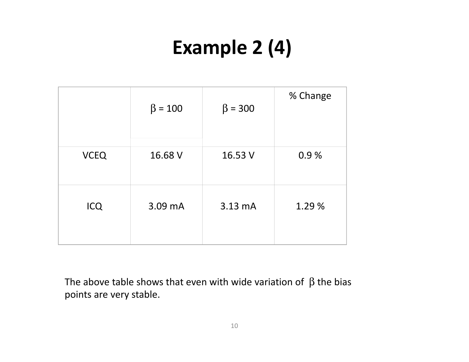# **Example 2 (4)**

|             | $\beta = 100$ | $\beta = 300$     | % Change |
|-------------|---------------|-------------------|----------|
| <b>VCEQ</b> | 16.68 V       | 16.53 V           | 0.9%     |
| <b>ICQ</b>  | 3.09 mA       | $3.13 \text{ mA}$ | 1.29 %   |

The above table shows that even with wide variation of  $\beta$  the bias points are very stable.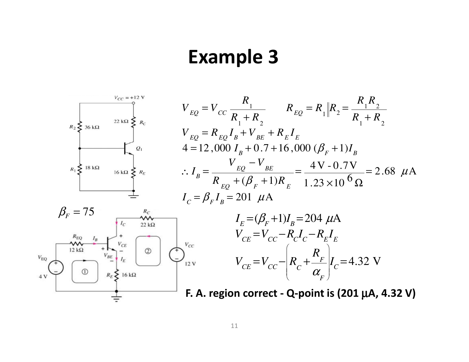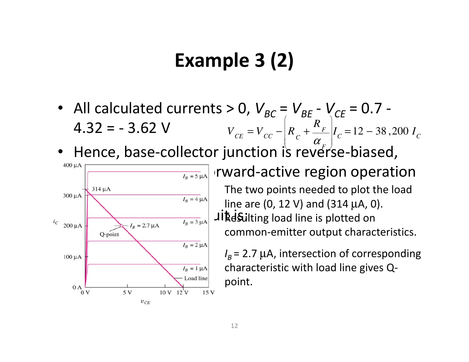#### **Example 3 (2)**

- All calculated currents > 0,  $V_{BC} = V_{BE} V_{CE} = 0.7 4.32 = -3.62$  V  $V_{CE} = V_{CC} - R_{C} + C$ *R F* α $\bigg($ I  $\left.\rule{0pt}{10pt}\right)$  $I_c = 12 - 38,200 I_c$ I
- •• Hence, base-collector junction is reverse-biased,  $\zeta$  ray  $\sigma_F$



 $\frac{400 \mu A}{r_R = 5 \mu A}$  rward-active region operation  $\frac{1}{\sqrt{L_0L_0^2 + 27\mu A}}$   $\frac{I_B = 3\mu A}{I_B = 3\mu A}$  Jikesilting load line is plotted on The two points needed to plot the load line are (0, 12 V) and (314 µA, 0). common-emitter output characteristics.

> $I_B$  = 2.7  $\mu$ A, intersection of corresponding characteristic with load line gives Qpoint.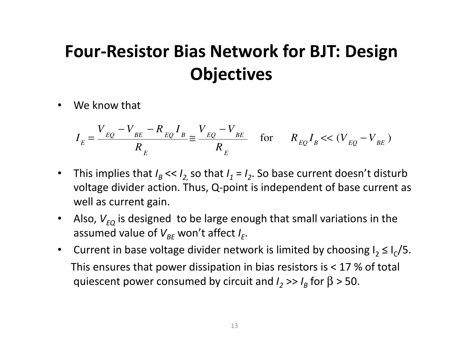#### **Four-Resistor Bias Network for BJT: Design Objectives**

•We know that

$$
I_E = \frac{V_{EQ} - V_{BE} - R_{EQ}I_B}{R_E} \approx \frac{V_{EQ} - V_{BE}}{R_E}
$$
 for  $R_{EQ}I_B \ll (V_{EQ} - V_{BE})$ 

- $\bullet$ • This implies that  $I_B \ll I_2$  so that  $I_1 = I_2$ . So base current doesn't disturb voltage divider action. Thus, Q-point is independent of base current as well as current gain.
- $\bullet$ • Also,  $V_{EQ}$  is designed to be large enough that small variations in the assumed value of *VBE* won't affect *I<sup>E</sup>*.
- Current in base voltage divider network is limited by choosing  $I_2 \leq I_C/5$ . This ensures that power dissipation in bias resistors is  $<$  17 % of total quiescent power consumed by circuit and  $I_2$  >>  $I_B$  for  $\beta$  > 50.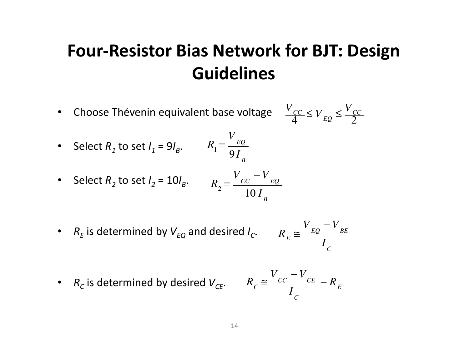#### **Four-Resistor Bias Network for BJT: Design Guidelines**

• Choose Thévenin equivalent base voltage

$$
\frac{V_{CC}}{4}\leq V_{EQ}\leq \frac{V_{CC}}{2}
$$

• Select  $R_1$  to set  $I_1 = 9I_B$ .  $R_1 =$ *V* $rac{EQ}{9I_B}$ 

• Select 
$$
R_2
$$
 to set  $I_2 = 10I_B$ .  $R_2 = \frac{V_{CC} - V_{EQ}}{10I_B}$ 

•  $\,$   $R_{\scriptstyle E}$  is determined by  $V_{\scriptstyle EQ}$  and desired  $I_{\scriptstyle C}$ . *<sup>R</sup>E*

$$
R_E \cong \frac{V_{EQ} - V_{BE}}{I_C}
$$

•  $R_{\mathcal{C}}$  is determined by desired  $V_{\mathcal{C}\mathcal{E}}$ .  $R_{\mathcal{C}}$ 

$$
R_C \cong \frac{V_{CC} - V_{CE}}{I_C} - R_E
$$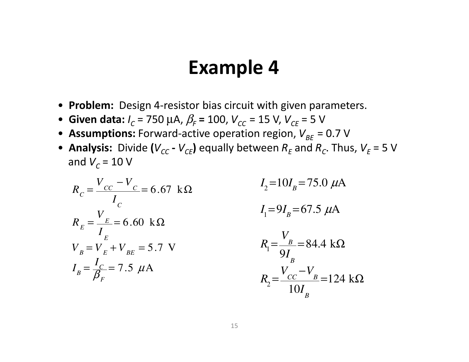- **Problem:** Design 4-resistor bias circuit with given parameters.
- Given data:  $I_C$  = 750 μA,  $\beta_F$  = 100,  $V_{CC}$  = 15 V,  $V_{CE}$  = 5 V
- **Assumptions:** Forward-active operation region,  $V_{BE}$  = 0.7 V
- Analysis: Divide ( $V_{CC}$   $V_{CE}$ ) equally between  $R_E$  and  $R_C$ . Thus,  $V_E$  = 5 V and  $V_C$  = 10 V

$$
R_{c} = \frac{V_{cc} - V_{c}}{I_{c}} = 6.67 \text{ k}\Omega
$$
\n
$$
I_{1} = 9I_{B} = 67.5 \text{ }\mu\text{A}
$$
\n
$$
R_{E} = \frac{V_{E}}{I_{E}} = 6.60 \text{ k}\Omega
$$
\n
$$
V_{B} = V_{E} + V_{BE} = 5.7 \text{ V}
$$
\n
$$
I_{B} = \frac{V_{B}}{\beta_{F}} = 7.5 \text{ }\mu\text{A}
$$
\n
$$
R_{1} = \frac{V_{B}}{9I_{B}} = 84.4 \text{ k}\Omega
$$
\n
$$
R_{2} = \frac{V_{cc} - V_{B}}{10I_{B}} = 124 \text{ k}\Omega
$$